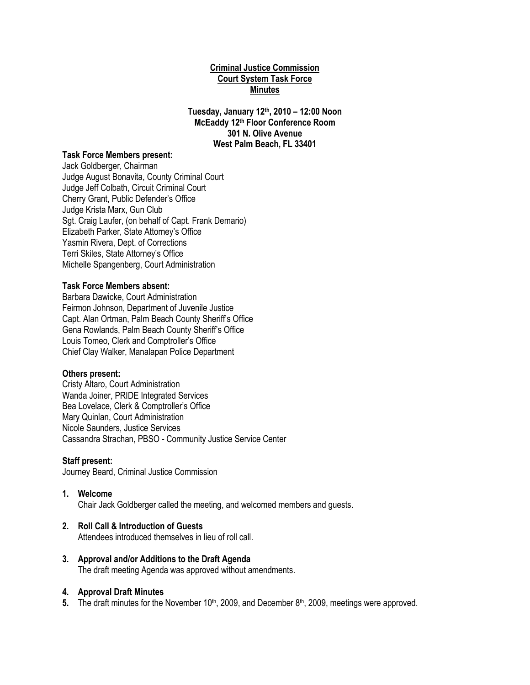# **Criminal Justice Commission Court System Task Force Minutes**

**Tuesday, January 12th, 2010 – 12:00 Noon McEaddy 12th Floor Conference Room 301 N. Olive Avenue West Palm Beach, FL 33401**

#### **Task Force Members present:**

Jack Goldberger, Chairman Judge August Bonavita, County Criminal Court Judge Jeff Colbath, Circuit Criminal Court Cherry Grant, Public Defender's Office Judge Krista Marx, Gun Club Sgt. Craig Laufer, (on behalf of Capt. Frank Demario) Elizabeth Parker, State Attorney's Office Yasmin Rivera, Dept. of Corrections Terri Skiles, State Attorney's Office Michelle Spangenberg, Court Administration

### **Task Force Members absent:**

Barbara Dawicke, Court Administration Feirmon Johnson, Department of Juvenile Justice Capt. Alan Ortman, Palm Beach County Sheriff's Office Gena Rowlands, Palm Beach County Sheriff's Office Louis Tomeo, Clerk and Comptroller's Office Chief Clay Walker, Manalapan Police Department

### **Others present:**

Cristy Altaro, Court Administration Wanda Joiner, PRIDE Integrated Services Bea Lovelace, Clerk & Comptroller's Office Mary Quinlan, Court Administration Nicole Saunders, Justice Services Cassandra Strachan, PBSO - Community Justice Service Center

### **Staff present:**

Journey Beard, Criminal Justice Commission

### **1. Welcome**

Chair Jack Goldberger called the meeting, and welcomed members and guests.

### **2. Roll Call & Introduction of Guests**

Attendees introduced themselves in lieu of roll call.

# **3. Approval and/or Additions to the Draft Agenda**

The draft meeting Agenda was approved without amendments.

# **4. Approval Draft Minutes**

5. The draft minutes for the November 10<sup>th</sup>, 2009, and December 8<sup>th</sup>, 2009, meetings were approved.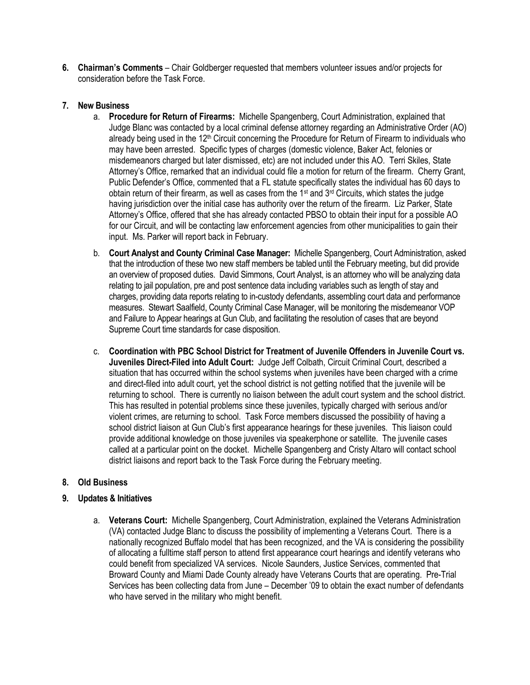**6. Chairman's Comments** – Chair Goldberger requested that members volunteer issues and/or projects for consideration before the Task Force.

# **7. New Business**

- a. **Procedure for Return of Firearms:** Michelle Spangenberg, Court Administration, explained that Judge Blanc was contacted by a local criminal defense attorney regarding an Administrative Order (AO) already being used in the 12<sup>th</sup> Circuit concerning the Procedure for Return of Firearm to individuals who may have been arrested. Specific types of charges (domestic violence, Baker Act, felonies or misdemeanors charged but later dismissed, etc) are not included under this AO. Terri Skiles, State Attorney's Office, remarked that an individual could file a motion for return of the firearm. Cherry Grant, Public Defender's Office, commented that a FL statute specifically states the individual has 60 days to obtain return of their firearm, as well as cases from the 1<sup>st</sup> and  $3<sup>rd</sup>$  Circuits, which states the judge having jurisdiction over the initial case has authority over the return of the firearm. Liz Parker, State Attorney's Office, offered that she has already contacted PBSO to obtain their input for a possible AO for our Circuit, and will be contacting law enforcement agencies from other municipalities to gain their input. Ms. Parker will report back in February.
- b. **Court Analyst and County Criminal Case Manager:** Michelle Spangenberg, Court Administration, asked that the introduction of these two new staff members be tabled until the February meeting, but did provide an overview of proposed duties. David Simmons, Court Analyst, is an attorney who will be analyzing data relating to jail population, pre and post sentence data including variables such as length of stay and charges, providing data reports relating to in-custody defendants, assembling court data and performance measures. Stewart Saalfield, County Criminal Case Manager, will be monitoring the misdemeanor VOP and Failure to Appear hearings at Gun Club, and facilitating the resolution of cases that are beyond Supreme Court time standards for case disposition.
- c. **Coordination with PBC School District for Treatment of Juvenile Offenders in Juvenile Court vs. Juveniles Direct-Filed into Adult Court:** Judge Jeff Colbath, Circuit Criminal Court, described a situation that has occurred within the school systems when juveniles have been charged with a crime and direct-filed into adult court, yet the school district is not getting notified that the juvenile will be returning to school. There is currently no liaison between the adult court system and the school district. This has resulted in potential problems since these juveniles, typically charged with serious and/or violent crimes, are returning to school. Task Force members discussed the possibility of having a school district liaison at Gun Club's first appearance hearings for these juveniles. This liaison could provide additional knowledge on those juveniles via speakerphone or satellite. The juvenile cases called at a particular point on the docket. Michelle Spangenberg and Cristy Altaro will contact school district liaisons and report back to the Task Force during the February meeting.

# **8. Old Business**

# **9. Updates & Initiatives**

a. **Veterans Court:** Michelle Spangenberg, Court Administration, explained the Veterans Administration (VA) contacted Judge Blanc to discuss the possibility of implementing a Veterans Court. There is a nationally recognized Buffalo model that has been recognized, and the VA is considering the possibility of allocating a fulltime staff person to attend first appearance court hearings and identify veterans who could benefit from specialized VA services. Nicole Saunders, Justice Services, commented that Broward County and Miami Dade County already have Veterans Courts that are operating. Pre-Trial Services has been collecting data from June – December '09 to obtain the exact number of defendants who have served in the military who might benefit.